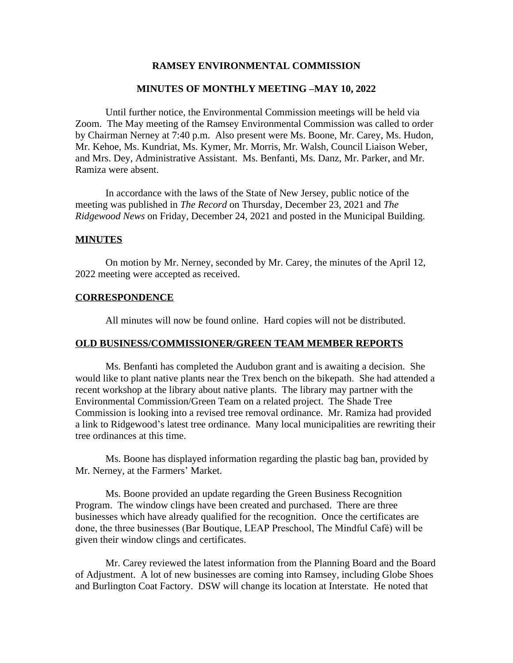## **RAMSEY ENVIRONMENTAL COMMISSION**

#### **MINUTES OF MONTHLY MEETING –MAY 10, 2022**

Until further notice, the Environmental Commission meetings will be held via Zoom. The May meeting of the Ramsey Environmental Commission was called to order by Chairman Nerney at 7:40 p.m. Also present were Ms. Boone, Mr. Carey, Ms. Hudon, Mr. Kehoe, Ms. Kundriat, Ms. Kymer, Mr. Morris, Mr. Walsh, Council Liaison Weber, and Mrs. Dey, Administrative Assistant. Ms. Benfanti, Ms. Danz, Mr. Parker, and Mr. Ramiza were absent.

In accordance with the laws of the State of New Jersey, public notice of the meeting was published in *The Record* on Thursday, December 23, 2021 and *The Ridgewood News* on Friday, December 24, 2021 and posted in the Municipal Building.

#### **MINUTES**

On motion by Mr. Nerney, seconded by Mr. Carey, the minutes of the April 12, 2022 meeting were accepted as received.

#### **CORRESPONDENCE**

All minutes will now be found online. Hard copies will not be distributed.

#### **OLD BUSINESS/COMMISSIONER/GREEN TEAM MEMBER REPORTS**

Ms. Benfanti has completed the Audubon grant and is awaiting a decision. She would like to plant native plants near the Trex bench on the bikepath. She had attended a recent workshop at the library about native plants. The library may partner with the Environmental Commission/Green Team on a related project. The Shade Tree Commission is looking into a revised tree removal ordinance. Mr. Ramiza had provided a link to Ridgewood's latest tree ordinance. Many local municipalities are rewriting their tree ordinances at this time.

Ms. Boone has displayed information regarding the plastic bag ban, provided by Mr. Nerney, at the Farmers' Market.

Ms. Boone provided an update regarding the Green Business Recognition Program. The window clings have been created and purchased. There are three businesses which have already qualified for the recognition. Once the certificates are done, the three businesses (Bar Boutique, LEAP Preschool, The Mindful Café) will be given their window clings and certificates.

Mr. Carey reviewed the latest information from the Planning Board and the Board of Adjustment. A lot of new businesses are coming into Ramsey, including Globe Shoes and Burlington Coat Factory. DSW will change its location at Interstate. He noted that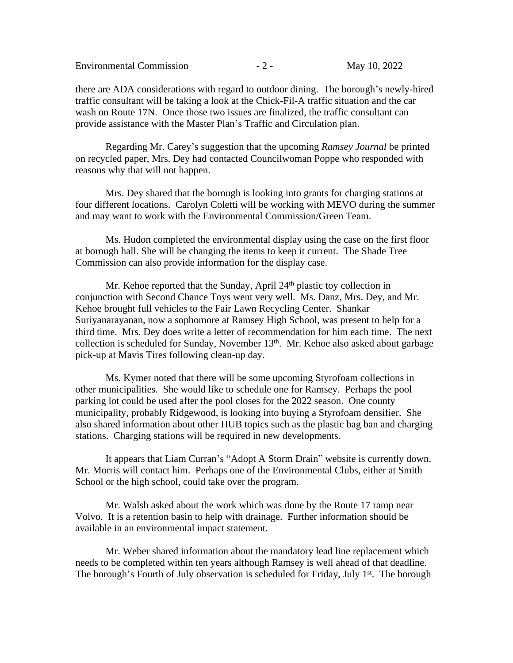| <b>Environmental Commission</b> |  |  |
|---------------------------------|--|--|
|---------------------------------|--|--|

there are ADA considerations with regard to outdoor dining. The borough's newly-hired traffic consultant will be taking a look at the Chick-Fil-A traffic situation and the car wash on Route 17N. Once those two issues are finalized, the traffic consultant can provide assistance with the Master Plan's Traffic and Circulation plan.

Regarding Mr. Carey's suggestion that the upcoming *Ramsey Journal* be printed on recycled paper, Mrs. Dey had contacted Councilwoman Poppe who responded with reasons why that will not happen.

Mrs. Dey shared that the borough is looking into grants for charging stations at four different locations. Carolyn Coletti will be working with MEVO during the summer and may want to work with the Environmental Commission/Green Team.

Ms. Hudon completed the environmental display using the case on the first floor at borough hall. She will be changing the items to keep it current. The Shade Tree Commission can also provide information for the display case.

Mr. Kehoe reported that the Sunday, April 24<sup>th</sup> plastic toy collection in conjunction with Second Chance Toys went very well. Ms. Danz, Mrs. Dey, and Mr. Kehoe brought full vehicles to the Fair Lawn Recycling Center. Shankar Suriyanarayanan, now a sophomore at Ramsey High School, was present to help for a third time. Mrs. Dey does write a letter of recommendation for him each time. The next collection is scheduled for Sunday, November 13<sup>th</sup>. Mr. Kehoe also asked about garbage pick-up at Mavis Tires following clean-up day.

Ms. Kymer noted that there will be some upcoming Styrofoam collections in other municipalities. She would like to schedule one for Ramsey. Perhaps the pool parking lot could be used after the pool closes for the 2022 season. One county municipality, probably Ridgewood, is looking into buying a Styrofoam densifier. She also shared information about other HUB topics such as the plastic bag ban and charging stations. Charging stations will be required in new developments.

It appears that Liam Curran's "Adopt A Storm Drain" website is currently down. Mr. Morris will contact him. Perhaps one of the Environmental Clubs, either at Smith School or the high school, could take over the program.

Mr. Walsh asked about the work which was done by the Route 17 ramp near Volvo. It is a retention basin to help with drainage. Further information should be available in an environmental impact statement.

Mr. Weber shared information about the mandatory lead line replacement which needs to be completed within ten years although Ramsey is well ahead of that deadline. The borough's Fourth of July observation is scheduled for Friday, July 1<sup>st</sup>. The borough